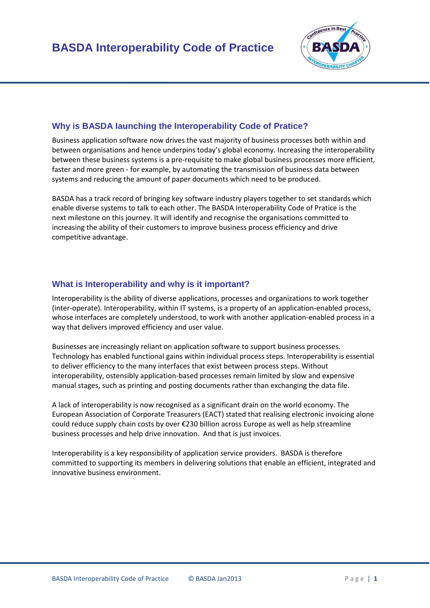

## **Why is BASDA launching the Interoperability Code of Pratice?**

 faster and more green - for example, by automating the transmission of business data between Business application software now drives the vast majority of business processes both within and between organisations and hence underpins today's global economy. Increasing the interoperability between these business systems is a pre-requisite to make global business processes more efficient, systems and reducing the amount of paper documents which need to be produced.

 enable diverse systems to talk to each other. The BASDA Interoperability Code of Pratice is the BASDA has a track record of bringing key software industry players together to set standards which next milestone on this journey. It will identify and recognise the organisations committed to increasing the ability of their customers to improve business process efficiency and drive competitive advantage.

## **What is Interoperability and why is it important?**

Interoperability is the ability of diverse applications, processes and organizations to work together (inter-operate). Interoperability, within IT systems, is a property of an application-enabled process, whose interfaces are completely understood, to work with another application-enabled process in a way that delivers improved efficiency and user value.

 to deliver efficiency to the many interfaces that exist between process steps. Without Businesses are increasingly reliant on application software to support business processes. Technology has enabled functional gains within individual process steps. Interoperability is essential interoperability, ostensibly application-based processes remain limited by slow and expensive manual stages, such as printing and posting documents rather than exchanging the data file.

A lack of interoperability is now recognised as a significant drain on the world economy. The European Association of Corporate Treasurers (EACT) stated that realising electronic invoicing alone could reduce supply chain costs by over €230 billion across Europe as well as help streamline business processes and help drive innovation. And that is just invoices.

Interoperability is a key responsibility of application service providers. BASDA is therefore committed to supporting its members in delivering solutions that enable an efficient, integrated and innovative business environment.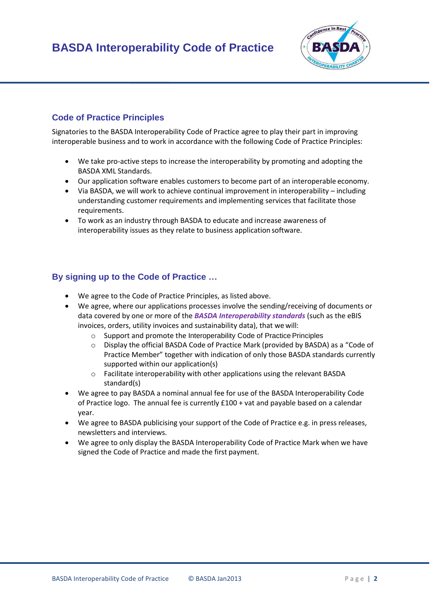

## **Code of Practice Principles**

 Signatories to the BASDA Interoperability Code of Practice agree to play their part in improving interoperable business and to work in accordance with the following Code of Practice Principles:

- BASDA XML Standards. We take pro-active steps to increase the interoperability by promoting and adopting the
- Our application software enables customers to become part of an interoperable economy.
- Via BASDA, we will work to achieve continual improvement in interoperability including understanding customer requirements and implementing services that facilitate those requirements.
- interoperability issues as they relate to business application software. To work as an industry through BASDA to educate and increase awareness of

## **By signing up to the Code of Practice …**

- We agree to the Code of Practice Principles, as listed above.
- invoices, orders, utility invoices and sustainability data), that we will: We agree, where our applications processes involve the sending/receiving of documents or data covered by one or more of the *BASDA Interoperability standards* (such as the eBIS
	- o Support and promote the Interoperability Code of Practice Principles
	- o Display the official BASDA Code of Practice Mark (provided by BASDA) as a "Code of Practice Member" together with indication of only those BASDA standards currently supported within our application(s)
	- o Facilitate interoperability with other applications using the relevant BASDA standard(s)
- of Practice logo. The annual fee is currently £100 + vat and payable based on a calendar We agree to pay BASDA a nominal annual fee for use of the BASDA Interoperability Code year.
- We agree to BASDA publicising your support of the Code of Practice e.g. in press releases, newsletters and interviews.
- signed the Code of Practice and made the first payment. We agree to only display the BASDA Interoperability Code of Practice Mark when we have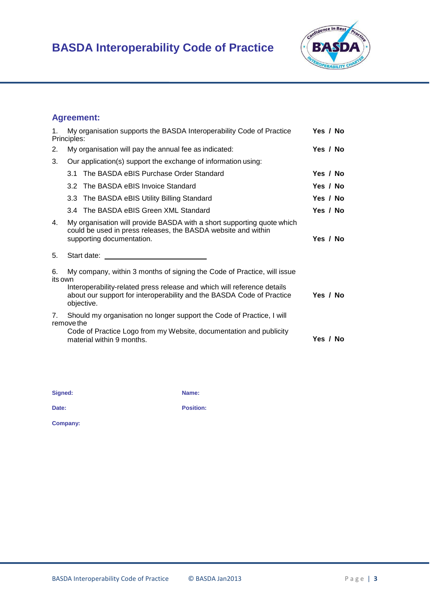# **BASDA Interoperability Code of Practice**



# **Agreement:**

| Yes / No<br>Yes / No<br>Yes / No<br>Yes / No |
|----------------------------------------------|
|                                              |
|                                              |
|                                              |
|                                              |
|                                              |
| Yes / No                                     |
| Yes / No                                     |
|                                              |
| Yes / No                                     |
| Yes / No                                     |
|                                              |

**Signed: Name:** 

**Date:** Position:

**Company:**